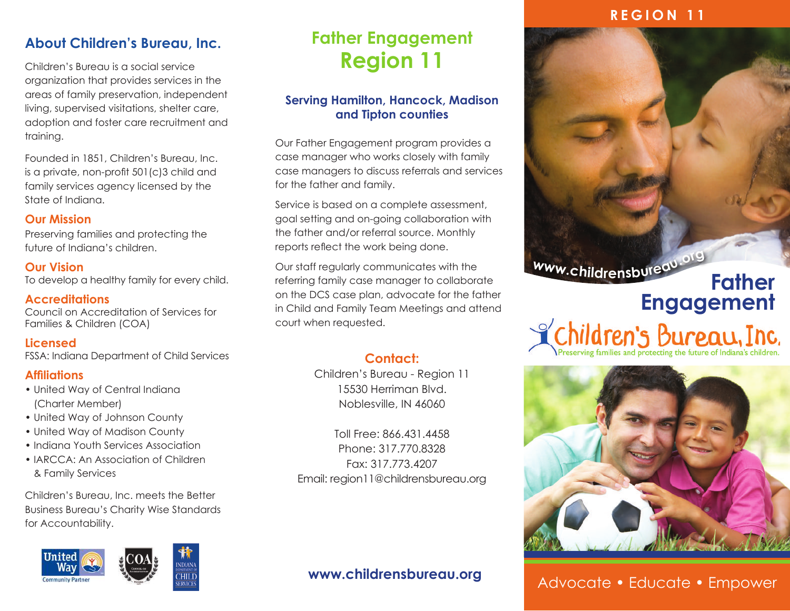### **REGION 11**

### **About Children's Bureau, Inc.**

Children's Bureau is a social service organization that provides services in the areas of family preservation, independent living, supervised visitations, shelter care, adoption and foster care recruitment and training.

Founded in 1851, Children's Bureau, Inc. is a private, non-profit 501(c)3 child and family services agency licensed by the State of Indiana.

#### **Our Mission**

Preserving families and protecting the future of Indiana's children.

**Our Vision** To develop a healthy family for every child.

**Accreditations** Council on Accreditation of Services for Families & Children (COA)

**Licensed** FSSA: Indiana Department of Child Services

### **Affiliations**

- United Way of Central Indiana (Charter Member)
- United Way of Johnson County
- United Way of Madison County
- Indiana Youth Services Association
- IARCCA: An Association of Children & Family Services

Children's Bureau, Inc. meets the Better Business Bureau's Charity Wise Standards for Accountability.



### **Father Engagement Region 11**

### **Serving Hamilton, Hancock, Madison and Tipton counties**

Our Father Engagement program provides a case manager who works closely with family case managers to discuss referrals and services for the father and family.

Service is based on a complete assessment, goal setting and on-going collaboration with the father and/or referral source. Monthly reports reflect the work being done.

Our staff regularly communicates with the referring family case manager to collaborate on the DCS case plan, advocate for the father in Child and Family Team Meetings and attend court when requested.

### **Contact:**

Children's Bureau - Region 11 15530 Herriman Blvd. Noblesville, IN 46060

Toll Free: 866.431.4458 Phone: 317.770.8328 Fax: 317.773.4207 Email: region11@childrensbureau.org

### **www.childrensbureau.org**



## **Father**  Engagement<br> **Engagement**<br> **Engagement**<br> **Engagement**<br> **Engagement**



Advocate • Educate • Empower